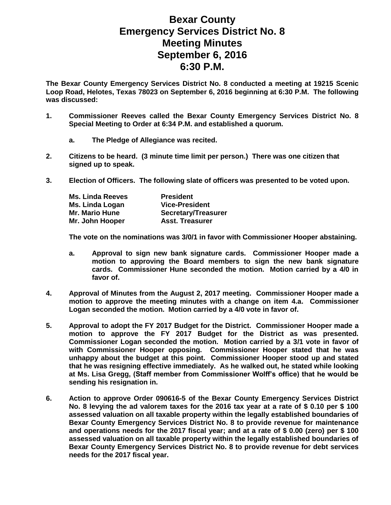## **Bexar County Emergency Services District No. 8 Meeting Minutes September 6, 2016 6:30 P.M.**

**The Bexar County Emergency Services District No. 8 conducted a meeting at 19215 Scenic Loop Road, Helotes, Texas 78023 on September 6, 2016 beginning at 6:30 P.M. The following was discussed:**

- **1. Commissioner Reeves called the Bexar County Emergency Services District No. 8 Special Meeting to Order at 6:34 P.M. and established a quorum.**
	- **a. The Pledge of Allegiance was recited.**
- **2. Citizens to be heard. (3 minute time limit per person.) There was one citizen that signed up to speak.**
- **3. Election of Officers. The following slate of officers was presented to be voted upon.**

| <b>Ms. Linda Reeves</b> | <b>President</b>           |
|-------------------------|----------------------------|
| Ms. Linda Logan         | <b>Vice-President</b>      |
| <b>Mr. Mario Hune</b>   | <b>Secretary/Treasurer</b> |
| Mr. John Hooper         | <b>Asst. Treasurer</b>     |

**The vote on the nominations was 3/0/1 in favor with Commissioner Hooper abstaining.**

- **a. Approval to sign new bank signature cards. Commissioner Hooper made a motion to approving the Board members to sign the new bank signature cards. Commissioner Hune seconded the motion. Motion carried by a 4/0 in favor of.**
- **4. Approval of Minutes from the August 2, 2017 meeting. Commissioner Hooper made a motion to approve the meeting minutes with a change on item 4.a. Commissioner Logan seconded the motion. Motion carried by a 4/0 vote in favor of.**
- **5. Approval to adopt the FY 2017 Budget for the District. Commissioner Hooper made a motion to approve the FY 2017 Budget for the District as was presented. Commissioner Logan seconded the motion. Motion carried by a 3/1 vote in favor of with Commissioner Hooper opposing. Commissioner Hooper stated that he was unhappy about the budget at this point. Commissioner Hooper stood up and stated that he was resigning effective immediately. As he walked out, he stated while looking at Ms. Lisa Gregg, (Staff member from Commissioner Wolff's office) that he would be sending his resignation in.**
- **6. Action to approve Order 090616-5 of the Bexar County Emergency Services District No. 8 levying the ad valorem taxes for the 2016 tax year at a rate of \$ 0.10 per \$ 100 assessed valuation on all taxable property within the legally established boundaries of Bexar County Emergency Services District No. 8 to provide revenue for maintenance and operations needs for the 2017 fiscal year; and at a rate of \$ 0.00 (zero) per \$ 100 assessed valuation on all taxable property within the legally established boundaries of Bexar County Emergency Services District No. 8 to provide revenue for debt services needs for the 2017 fiscal year.**